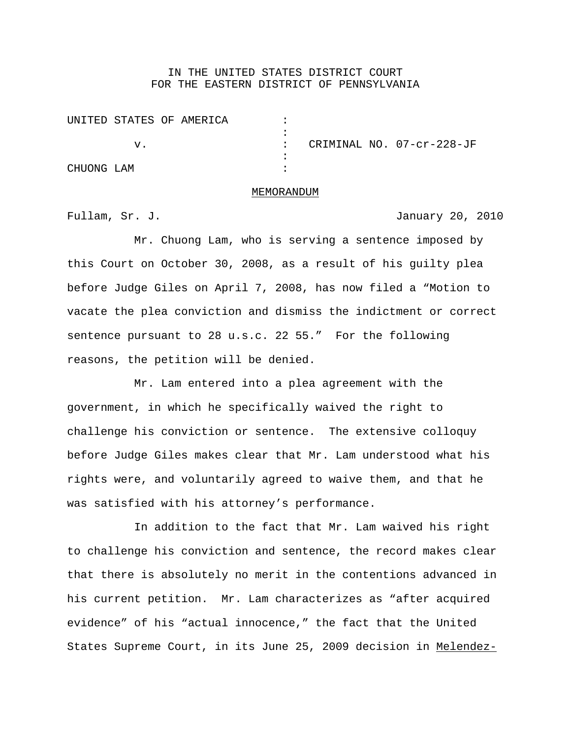## IN THE UNITED STATES DISTRICT COURT FOR THE EASTERN DISTRICT OF PENNSYLVANIA

|            |  | UNITED STATES OF AMERICA |  |  |                           |
|------------|--|--------------------------|--|--|---------------------------|
|            |  |                          |  |  |                           |
|            |  |                          |  |  | CRIMINAL NO. 07-cr-228-JF |
|            |  |                          |  |  |                           |
| CHUONG LAM |  |                          |  |  |                           |

## MEMORANDUM

Fullam, Sr. J. January 20, 2010

Mr. Chuong Lam, who is serving a sentence imposed by this Court on October 30, 2008, as a result of his guilty plea before Judge Giles on April 7, 2008, has now filed a "Motion to vacate the plea conviction and dismiss the indictment or correct sentence pursuant to 28 u.s.c. 22 55." For the following reasons, the petition will be denied.

Mr. Lam entered into a plea agreement with the government, in which he specifically waived the right to challenge his conviction or sentence. The extensive colloquy before Judge Giles makes clear that Mr. Lam understood what his rights were, and voluntarily agreed to waive them, and that he was satisfied with his attorney's performance.

In addition to the fact that Mr. Lam waived his right to challenge his conviction and sentence, the record makes clear that there is absolutely no merit in the contentions advanced in his current petition. Mr. Lam characterizes as "after acquired evidence" of his "actual innocence," the fact that the United States Supreme Court, in its June 25, 2009 decision in Melendez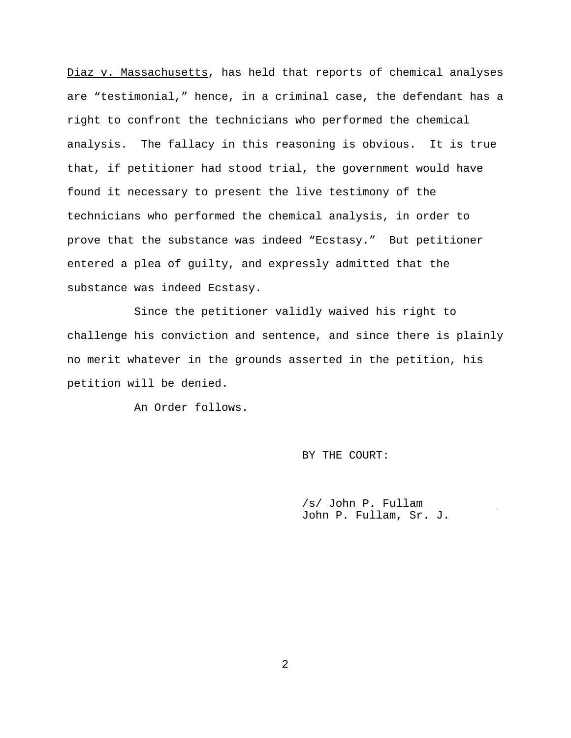Diaz v. Massachusetts, has held that reports of chemical analyses are "testimonial," hence, in a criminal case, the defendant has a right to confront the technicians who performed the chemical analysis. The fallacy in this reasoning is obvious. It is true that, if petitioner had stood trial, the government would have found it necessary to present the live testimony of the technicians who performed the chemical analysis, in order to prove that the substance was indeed "Ecstasy." But petitioner entered a plea of guilty, and expressly admitted that the substance was indeed Ecstasy.

Since the petitioner validly waived his right to challenge his conviction and sentence, and since there is plainly no merit whatever in the grounds asserted in the petition, his petition will be denied.

An Order follows.

BY THE COURT:

/s/ John P. Fullam John P. Fullam, Sr. J.